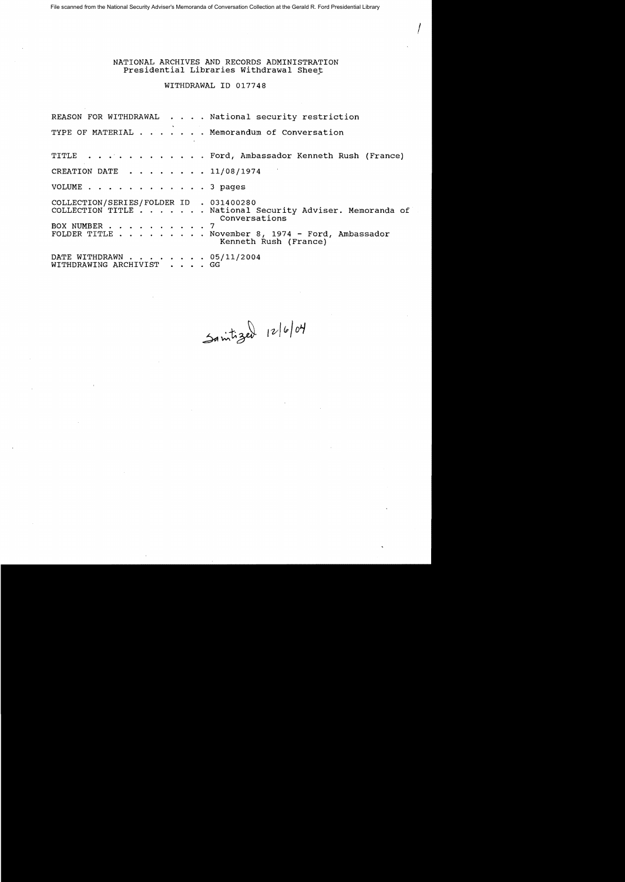File scanned from the National Security Adviser's Memoranda of Conversation Collection at the Gerald R. Ford Presidential Library

NATIONAL ARCHIVES AND RECORDS ADMINISTRATION Presidential Libraries Withdrawal Sheet

 $\int_0^1$ 

WITHDRAWAL ID 017748

REASON FOR WITHDRAWAL . . . . National security restriction TYPE OF MATERIAL . . . . . . Memorandum of Conversation TITLE . . . . . . . . . . . Ford, Ambassador Kenneth Rush (France) CREATION DATE  $\ldots$ ,  $\ldots$ ,  $\ldots$ ,  $\frac{11}{08}{1974}$ VOLUME . . . . . . . . . . . . 3 pages COLLECTION/S ER IES /FOLDER ID . 031400280 COLLECTION TITLE. National Security Adviser. Memoranda of BOX NUMBER . . . .<br>FOLDER TITLE . . . . . . Conversations 7 November 8, 1974 - Ford, Ambassador Kenneth Rush (France) DATE WITHDRAWN . . . . . . . . 05/11/2004 WITHDRAWING ARCHIVIST . . . . GG

Sanitized 12/6/04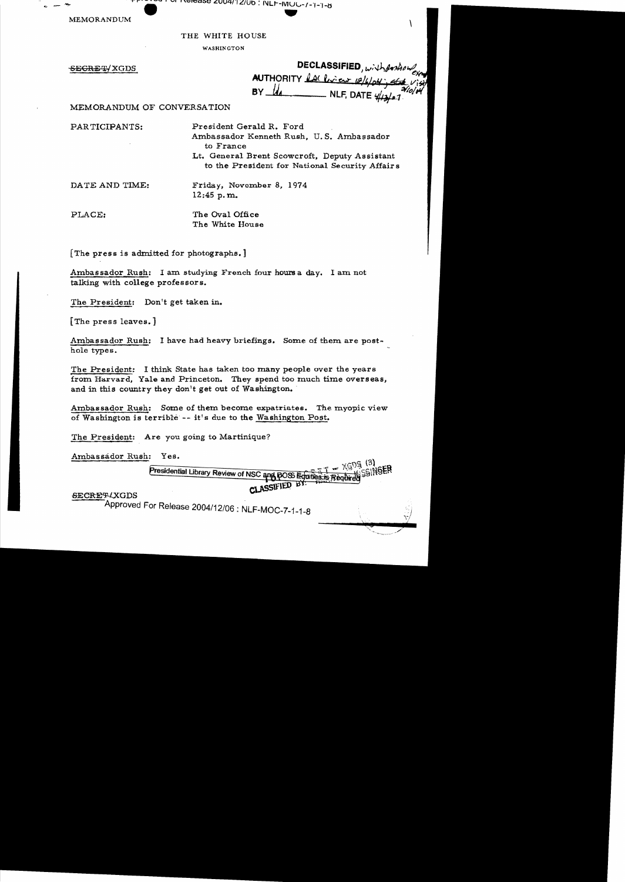~ Walde 2004/12/00 : NLF-MUC-7-1-1-8

MEMORANDUM

THE WHITE HOUSE

WASHINGTON

SECRET/XGDS

DECLASSIFIED, with position AUTHORITY LACENCER 12/4/04; ALL VI<br>BY LACENCER NLF, DATE 4/13/07

V

MEMORANDUM OF CONVERSATION

PARTICIPANTS:

President Gerald R. Ford Ambassador Kenneth Rush, U. S. Ambassador to France Lt. General Brent Scowcroft, Deputy Assistant to the President for National Security Affair s

DATE AND TIME:

Frida y, Novcxnber 8, 1974 12:45 p. m.

PLACE:

The Oval Office The White House

[The press is admitted for photographs.]

Ambas sador Rush: I am studying French four hours a day. I am not talking with college professors.

The President: Don't get taken in.

[The press leaves.]

Ambassador Rush: I have had heavy briefings. Some of them are posthole types.

The President: I think State has taken too many people over the years from Harvard, Yale and Princeton. They spend too much time overseas, and in this country they don't get out of Washington. '

Ambassador Rush: Some of them become expatriates. The myopic view of Washington is terrible -- it's due to the Washington Post.

The President: Are you going to Martinique?

Ambassador Rush: Yes.

 $- \times 525^{(3)}$ **SSINGER** Presidential Library Review of NSC and POSS Equities is Required CLASSIFIED BY:

**SECRET/XGDS** 

Approved For Release 2004/12/06: NLF-MOC-7-1-1-B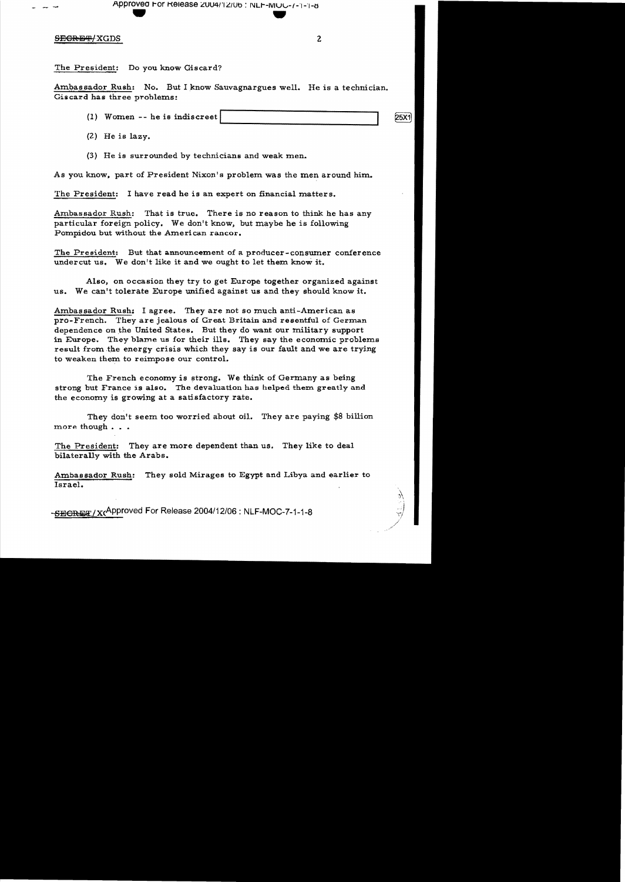Approved For Release 2004/12/06 : NLF-MOC-7-1-1-6

### S<del>ECRET/</del>XGDS 2

The President: Do you know Giscard?

Ambassador Rush: No. But I know Sauvagnargues well. He is a technician. Giscard has three problems:

- $(1)$  Women -- he is indiscreet  $\vert$
- (2) He is lazy.
- (3) He is surrounded by technicians and weak men.

As you know. part of President Nixon's problem was the men around him.

The President: I have read he is an expert on financial matters.

Ambassador Rush: That is true. There is no reason to think he has any particular foreign policy. We don't know, but maybe he is following Pompidou but without the Ameri can rancor.

The President: But that announcement of a producer-consumer conference under cut us. We don't like it and we ought to let them know it.

Also, on occasion they try to get Europe together organized against us. We can't tolerate Europe unified against us and they should know it.

Ambassador Rush: I agree. They are not so much anti-American as pro-French. They are jealous of Great Britain and resentful of German dependence on the United States. But they do want our military support in Europe. They blame us for their ills. They say the economic problems result from the energy crisis which they say is our fault and we are trying to weaken them to reimpose our control.

The French economy is strong. We think of Germany as being strong but France is also. The devaluation has helped them greatly and the economy is growing at a satisfactory rate.

They don't seem too worried about oil. They are paying \$8 billion more though . . .

The President: They are more dependent than us. They like to deal bilaterally with the Arabs.

Ambassador Rush: They sold Mirages to Egypt and Libya and earlier to Israel.

SBGRET/X(Approved For Release 2004/12/06: NLF-MOC-7-1-1-8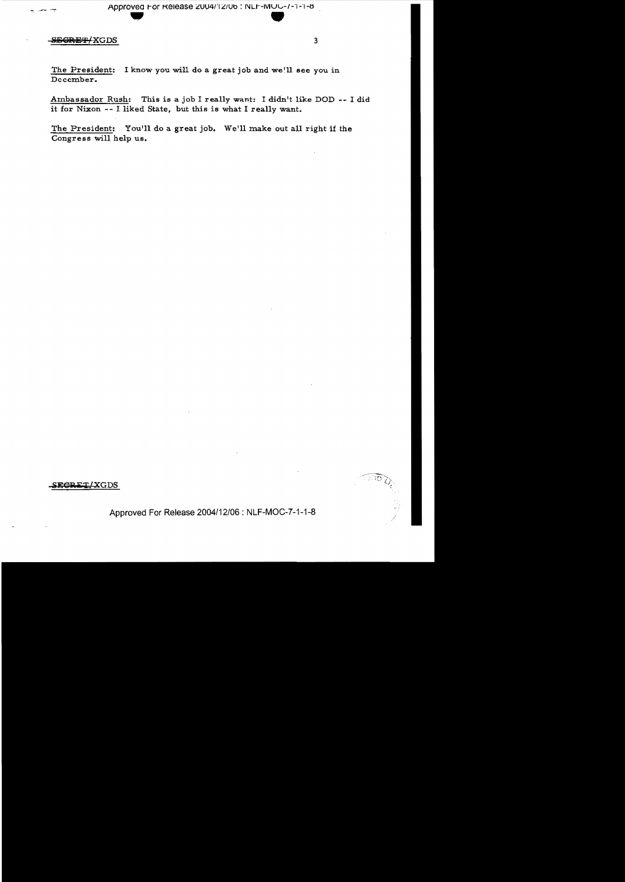#### SEGRET/XGDS

The President: I know you will do a great job and we'll see you in December.

Ambassador Rush: This is a job I really want: I didn't like DOD -- I did it for Nixon -- I liked State, but this is what I really want.

The President: You'll do a great job. We'll make out all right if the Congress will help us.

# SEGRET/XGDS